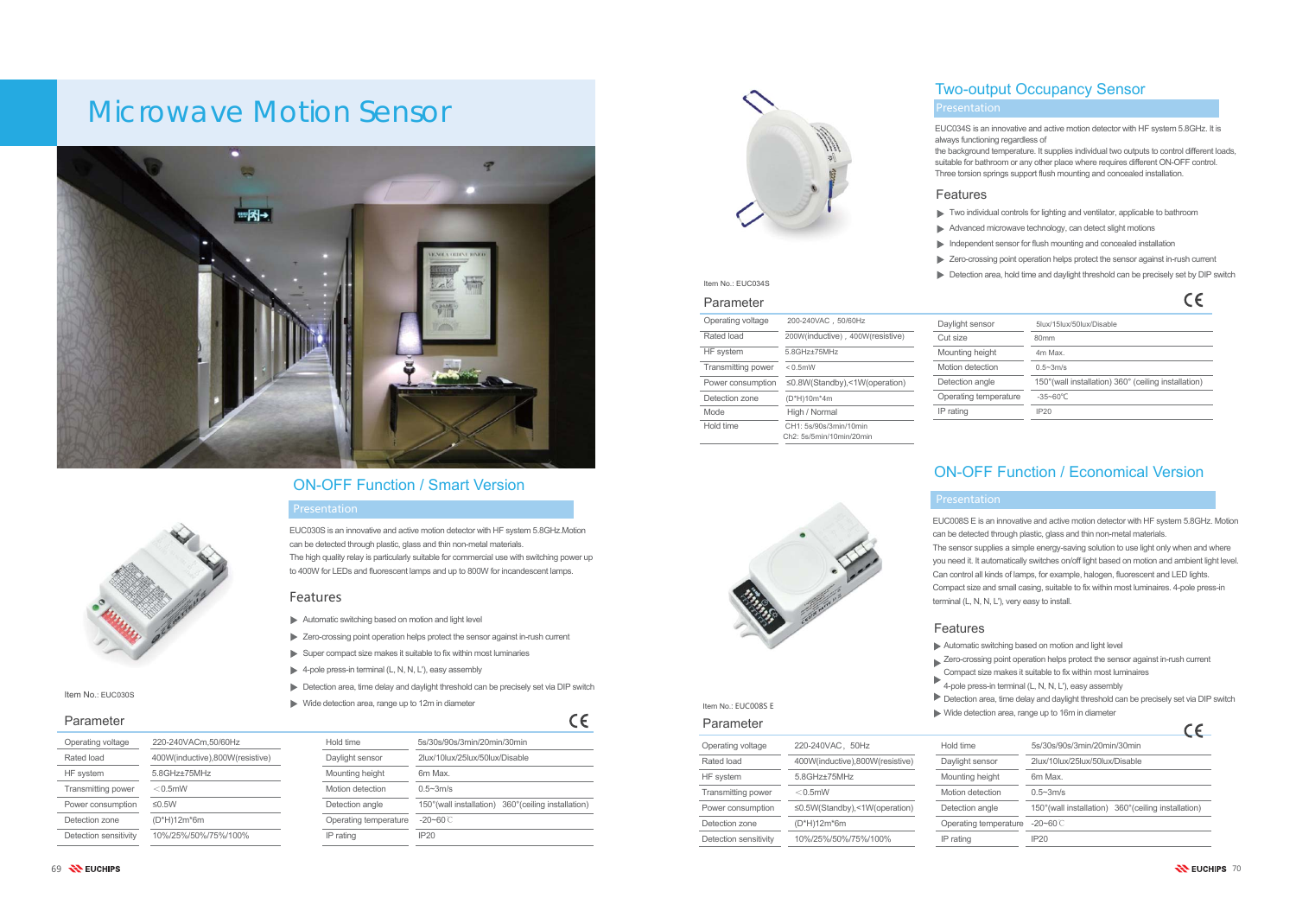

#### Features

- Automatic switching based on motion and light level
- Zero-crossing point operation helps protect the sensor against in-rush current
- $\triangleright$  Super compact size makes it suitable to fix within most luminaries
- $\blacktriangleright$  4-pole press-in terminal (L, N, N, L'), easy assembly
- Detection area, time delay and daylight threshold can be precisely set via DIP switch
- **►** Wide detection area, range up to 12m in diameter

## Microwave Motion Sensor





#### Parameter

## ON-OFF Function / Smart Version

### Presentation

| Operating voltage     | 220-240VACm,50/60Hz             |
|-----------------------|---------------------------------|
| Rated load            | 400W(inductive),800W(resistive) |
| HF system             | $5.8$ GHz $\pm$ 75MHz           |
| Transmitting power    | $<$ 0.5mW                       |
| Power consumption     | ≤0.5 $W$                        |
| Detection zone        | $(D*H)12m*6m$                   |
| Detection sensitivity | 10%/25%/50%/75%/100%            |

| Hold time             | 5s/30s/90s/3min/20min/30min                          |  |
|-----------------------|------------------------------------------------------|--|
| Daylight sensor       | 2lux/10lux/25lux/50lux/Disable                       |  |
| Mounting height       | 6m Max                                               |  |
| Motion detection      | $0.5 - 3m/s$                                         |  |
| Detection angle       | 150° (wall installation) 360° (ceiling installation) |  |
| Operating temperature | $-20 - 60$ C                                         |  |
| IP rating             | IP20                                                 |  |
|                       |                                                      |  |

 $C\epsilon$ 



Item No.: EUC030S

## ON-OFF Function / Economical Version

- Two individual controls for lighting and ventilator, applicable to bathroom
- Advanced microwave technology, can detect slight motions
- Independent sensor for flush mounting and concealed installation
- Zero-crossing point operation helps protect the sensor against in-rush current
- Detection area, hold time and daylight threshold can be precisely set by DIP switch

 $C<sub>C</sub>$ 

| Parameter             |                                     |                       | $\epsilon$                                           |
|-----------------------|-------------------------------------|-----------------------|------------------------------------------------------|
| Operating voltage     | 220-240VAC, 50Hz                    | Hold time             | 5s/30s/90s/3min/20min/30min                          |
| Rated load            | 400W(inductive),800W(resistive)     | Daylight sensor       | 2lux/10lux/25lux/50lux/Disable                       |
| HF system             | 5.8GHz±75MHz                        | Mounting height       | 6m Max.                                              |
| Transmitting power    | $<$ 0.5mW                           | Motion detection      | $0.5 - 3m/s$                                         |
| Power consumption     | $\leq$ 0.5W(Standby),<1W(operation) | Detection angle       | 150° (wall installation) 360° (ceiling installation) |
| Detection zone        | (D*H)12m*6m                         | Operating temperature | $-20 - 60$ C                                         |
| Detection sensitivity | 10%/25%/50%/75%/100%                | IP rating             | IP20                                                 |

#### Presentation

Operating voltage 200-240VAC,50/60Hz

HF system 5.8GHz±75MHz Transmitting power <0.5mW

Power consumption <sup>≤</sup>0.8W(Standby),<1W(operation)

Detection zone (D\*H)10m\*4m Mode High / Normal Hold time CH1: 5s/90s/3min/10min Ch2: 5s/5min/10min/20min

Rated load 200W(inductive), 400W(resistive)

- Automatic switching based on motion and light level
- Zero-crossing point operation helps protect the sensor against in-rush current
- Compact size makes it suitable to fix within most luminaires
- $\blacktriangleright$  Corrigion size members in terminal (L, N, N, L'), easy assembly

| Daylight sensor       | 5lux/15lux/50lux/Disable                             |
|-----------------------|------------------------------------------------------|
| Cut size              | 80 <sub>mm</sub>                                     |
| Mounting height       | 4m Max                                               |
| Motion detection      | $0.5 - 3m/s$                                         |
| Detection angle       | 150° (wall installation) 360° (ceiling installation) |
| Operating temperature | $-35 - 60^{\circ}$ C                                 |
| IP rating             | IP20                                                 |

Item No.: EUC034S

## Two-output Occupancy Sensor

#### **Features**

- 
- 
- 
- 
- 

EUC030S is an innovative and active motion detector with HF system 5.8GHz.Motion can be detected through plastic, glass and thin non-metal materials.

The high quality relay is particularly suitable for commercial use with switching power up to 400W for LEDs and fluorescent lamps and up to 800W for incandescent lamps.

- EUC034S is an innovative and active motion detector with HF system 5.8GHz. It is always functioning regardless of
- the background temperature. It supplies individual two outputs to control different loads, suitable for bathroom or any other place where requires different ON-OFF control. Three torsion springs support flush mounting and concealed installation.

- EUC008S E is an innovative and active motion detector with HF system 5.8GHz. Motion can be detected through plastic, glass and thin non-metal materials.
- The sensor supplies a simple energy-saving solution to use light only when and where you need it. It automatically switches on/off light based on motion and ambient light level. Can control all kinds of lamps, for example, halogen, fluorescent and LED lights. Compact size and small casing, suitable to fix within most luminaires. 4-pole press-in

terminal (L, N, N, L'), very easy to install.

#### **Features**

- 
- 
- 
- 
- Detection area, time delay and daylight threshold can be precisely set via DIP switch Wide detection area, range up to 16m in diameter  $\overline{a}$

Item No.: EUC008S E

#### Presentation

Parameter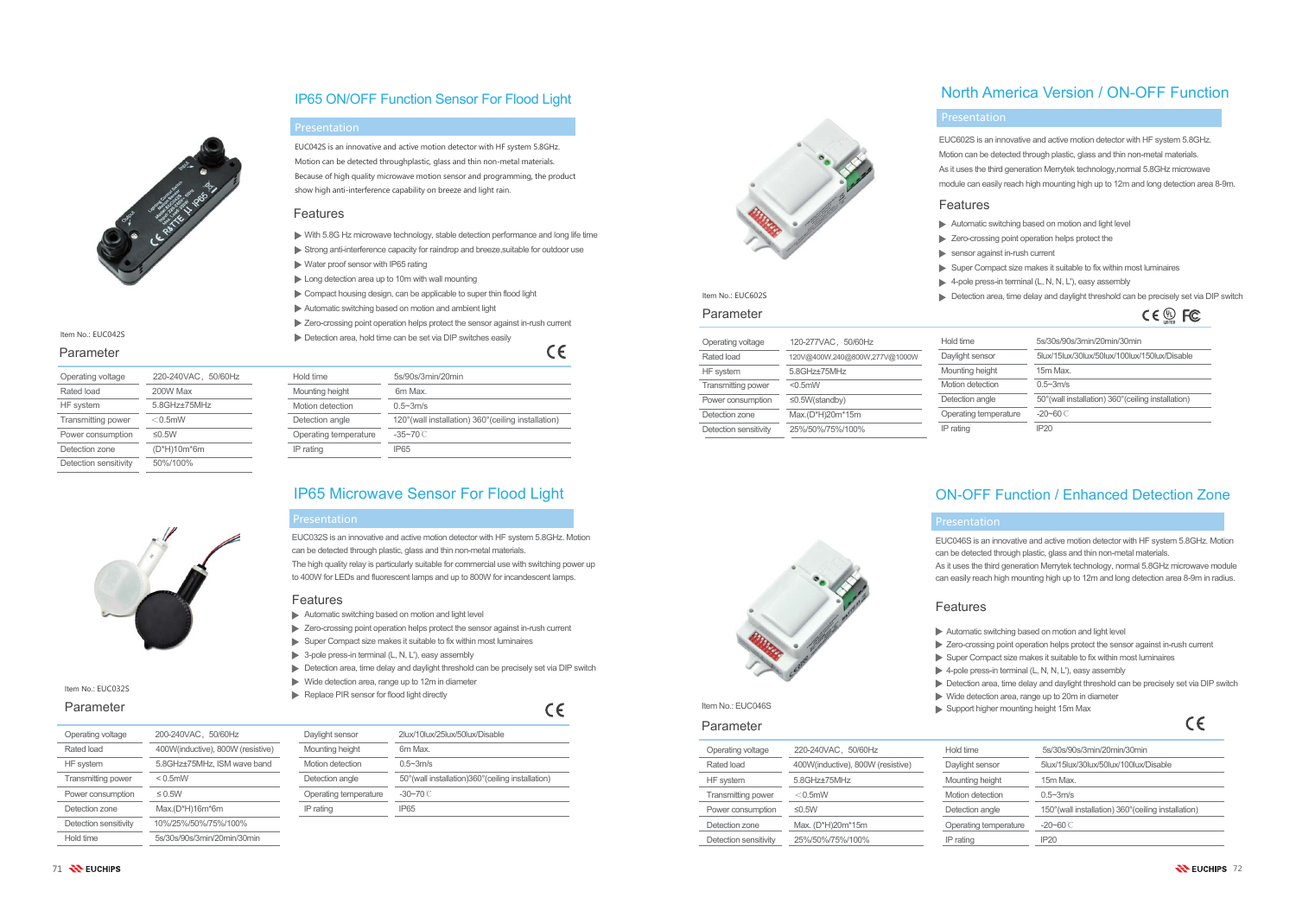

#### Item No.: EUC042S



#### Parameter

71 **N** EUCHIPS

IP65 ON/OFF Function Sensor For Flood Light

| Operating voltage     | 220-240VAC, 50/60Hz |
|-----------------------|---------------------|
| Rated load            | 200W Max            |
| HF system             | 5.8GHz±75MHz        |
| Transmitting power    | $<$ 0.5mW           |
| Power consumption     | $\leq$ 0.5W         |
| Detection zone        | (D*H)10m*6m         |
| Detection sensitivity | 50%/100%            |
|                       |                     |



Item No.: EUC032S

| Hold time             | 5s/90s/3min/20min                                    |
|-----------------------|------------------------------------------------------|
| Mounting height       | 6m Max.                                              |
| Motion detection      | $0.5 - 3m/s$                                         |
| Detection angle       | 120° (wall installation) 360° (ceiling installation) |
| Operating temperature | $-35 - 70$ C                                         |
| IP rating             | <b>IP65</b>                                          |

### IP65 Microwave Sensor For Flood Light

| Operating voltage         | 200-240VAC, 50/60Hz               |
|---------------------------|-----------------------------------|
| Rated load                | 400W(inductive), 800W (resistive) |
| HF system                 | 5.8GHz±75MHz, ISM wave band       |
| <b>Transmitting power</b> | $< 0.5$ mW                        |
| Power consumption         | $\leq 0.5W$                       |
| Detection zone            | $Max.(D*H)16m*6m$                 |
| Detection sensitivity     | 10%/25%/50%/75%/100%              |
| Hold time                 | 5s/30s/90s/3min/20min/30min       |

| 0/60Hz               | Daylight sensor       | 2lux/10lux/25lux/50lux/Disable                      |
|----------------------|-----------------------|-----------------------------------------------------|
| 800W (resistive)     | Mounting height       | 6m Max.                                             |
| <b>ISM wave band</b> | Motion detection      | $0.5 - 3m/s$                                        |
|                      | Detection angle       | 50° (wall installation) 360° (ceiling installation) |
|                      | Operating temperature | $-30 - 70$ C                                        |
| m                    | IP rating             | IP65                                                |



Item No.: EUC602S

### Features

## Presentation

EUC042S is an innovative and active motion detector with HF system 5.8GHz. Motion can be detected throughplastic, glass and thin non-metal materials. Because of high quality microwave motion sensor and programming, the product show high anti-interference capability on breeze and light rain.

## North America Version / ON-OFF Function

- With 5.8G Hz microwave technology, stable detection performance and long life time
- Strong anti-interference capacity for raindrop and breeze, suitable for outdoor use
- Water proof sensor with IP65 rating
- Long detection area up to 10m with wall mounting
- Compact housing design, can be applicable to super thin flood light
- Automatic switching based on motion and ambient light
- Zero-crossing point operation helps protect the sensor against in-rush current
- Detection area, hold time can be set via DIP switches easily

 $\epsilon$ 

| Operating voltage         | 120-277VAC, 50/60Hz           | Hold time             | 5s/30s/90s/3min/20min/30min                         |
|---------------------------|-------------------------------|-----------------------|-----------------------------------------------------|
| Rated load                | 120V@400W,240@800W,277V@1000W | Daylight sensor       | 5lux/15lux/30lux/50lux/100lux/150lux/Disable        |
| HF system                 | 5.8GHz+75MHz                  | Mounting height       | 15m Max.                                            |
| <b>Transmitting power</b> | $< 0.5$ mW                    | Motion detection      | $0.5 - 3m/s$                                        |
| Power consumption         | $\leq$ 0.5W(standby)          | Detection angle       | 50° (wall installation) 360° (ceiling installation) |
| Detection zone            | Max.(D*H)20m*15m              | Operating temperature | $-20 - 60$ C                                        |
| Detection sensitivity     | 25%/50%/75%/100%              | IP rating             | IP20                                                |
|                           |                               |                       |                                                     |

- Automatic switching based on motion and light level
- Zero-crossing point operation helps protect the sensor against in-rush current
- $\triangleright$  Super Compact size makes it suitable to fix within most luminaires
- $\triangleright$  3-pole press-in terminal (L, N, L'), easy assembly
- Detection area, time delay and daylight threshold can be precisely set via DIP switch
- $\triangleright$  Wide detection area, range up to 12m in diameter
- Replace PIR sensor for flood light directly



- EUC046S is an innovative and active motion detector with HF system 5.8GHz. Motion can be detected through plastic, glass and thin non-metal materials.
- As it uses the third generation Merrytek technology, normal 5.8GHz microwave module can easily reach high mounting high up to 12m and long detection area 8-9m in radius.
- Automatic switching based on motion and light level
- Zero-crossing point operation helps protect the sensor against in-rush current
- $\triangleright$  Super Compact size makes it suitable to fix within most luminaires
- ▶ 4-pole press-in terminal (L, N, N, L'), easy assembly

| . .  | . . |
|------|-----|
| P.   | v   |
| I    |     |
|      |     |
|      |     |
|      |     |
|      |     |
| ×    |     |
| . .  | . . |
| n an | o e |
|      |     |
|      |     |

## ON-OFF Function / Enhanced Detection Zone

| Operating voltage         | 220-240VAC, 50/60Hz               | Hold time             | 5s/30s/90s/3min/20min/30min                          |
|---------------------------|-----------------------------------|-----------------------|------------------------------------------------------|
| Rated load                | 400W(inductive), 800W (resistive) | Daylight sensor       | 5lux/15lux/30lux/50lux/100lux/Disable                |
| HF system                 | 5.8GHz+75MHz                      | Mounting height       | 15m Max.                                             |
| <b>Transmitting power</b> | $<$ 0.5mW                         | Motion detection      | $0.5 - 3m/s$                                         |
| Power consumption         | ≤ $0.5W$                          | Detection angle       | 150° (wall installation) 360° (ceiling installation) |
| Detection zone            | Max. (D*H)20m*15m                 | Operating temperature | $-20 - 60$ C                                         |
| Detection sensitivity     | 25%/50%/75%/100%                  | IP rating             | IP20                                                 |

### **Presentation**

#### Presentation

### Item No.: EUC046S Parameter

#### Parameter

#### Parameter

EUC032S is an innovative and active motion detector with HF system 5.8GHz. Motion can be detected through plastic, glass and thin non-metal materials.

The high quality relay is particularly suitable for commercial use with switching power up to 400W for LEDs and fluorescent lamps and up to 800W for incandescent lamps.

#### **Features**

#### Features

- 
- 
- 
- 
- Detection area, time delay and daylight threshold can be precisely set via DIP switch Wide detection area, range up to 20m in diameter
- Support higher mounting height 15m Max

### Presentation

#### Features

- 
- 
- sensor against in-rush current
- Super Compact size makes it suitable to fix within most luminaires
- ▶ 4-pole press-in terminal (L, N, N, L'), easy assembly
- 
- EUC602S is an innovative and active motion detector with HF system 5.8GHz. Motion can be detected through plastic, glass and thin non-metal materials.
- As it uses the third generation Merrytek technology,normal 5.8GHz microwave
- module can easily reach high mounting high up to 12m and long detection area 8-9m.

- Automatic switching based on motion and light level
- Exero-crossing point operation helps protect the
- Detection area, time delay and daylight threshold can be precisely set via DIP switch

|  | <b>LISTED</b> |  |
|--|---------------|--|
|--|---------------|--|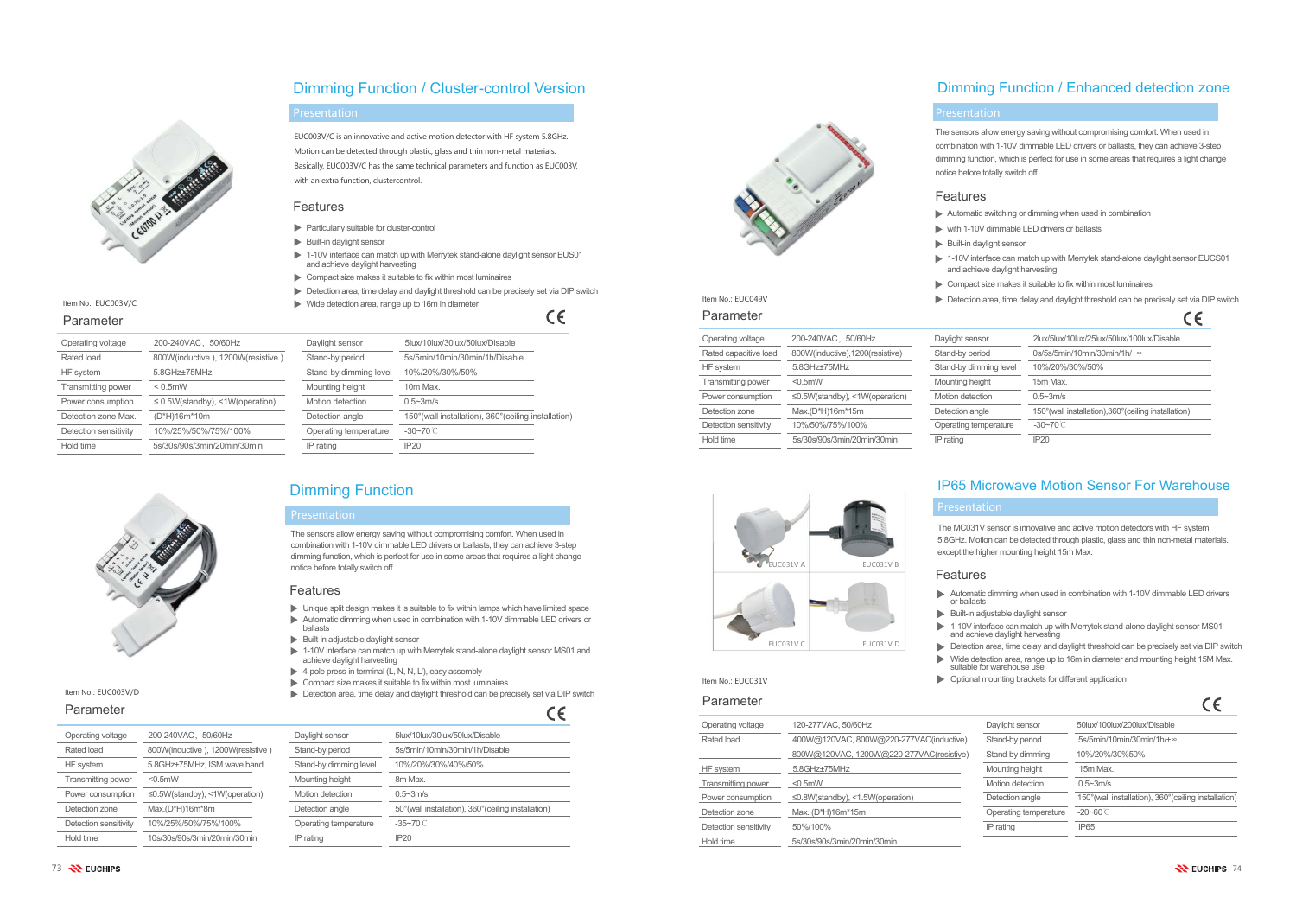

Item No.: EUC003V/C

| Operating voltage     | 200-240VAC, 50/60Hz                  |
|-----------------------|--------------------------------------|
| Rated load            | 800W(inductive), 1200W(resistive)    |
| HF system             | $5.8$ GHz $\pm$ 75MHz                |
| Transmitting power    | $< 0.5$ mW                           |
| Power consumption     | $\leq$ 0.5W(standby), <1W(operation) |
| Detection zone Max.   | (D*H)16m*10m                         |
| Detection sensitivity | 10%/25%/50%/75%/100%                 |
| Hold time             | 5s/30s/90s/3min/20min/30min          |
|                       |                                      |



Item No.: EUC003V/D

- Particularly suitable for cluster-control
- Built-in daylight sensor
- 1-10V interface can match up with Merrytek stand-alone daylight sensor EUS01 and achieve daylight harvesting
- $\triangleright$  Compact size makes it suitable to fix within most luminaires
- Detection area, time delay and daylight threshold can be precisely set via DIP switch
- Wide detection area, range up to 16m in diameter

 $C\epsilon$ 

| Daylight sensor        | 5lux/10lux/30lux/50lux/Disable                        |
|------------------------|-------------------------------------------------------|
| Stand-by period        | 5s/5min/10min/30min/1h/Disable                        |
| Stand-by dimming level | 10%/20%/30%/50%                                       |
| Mounting height        | 10m Max.                                              |
| Motion detection       | $0.5 - 3m/s$                                          |
| Detection angle        | 150° (wall installation), 360° (ceiling installation) |
| Operating temperature  | $-30 - 70$ C                                          |
| IP rating              | IP20                                                  |
|                        |                                                       |

## Dimming Function / Cluster-control Version

## Dimming Function

| Operating voltage         | 200-240VAC, 50/60Hz                  |
|---------------------------|--------------------------------------|
| Rated load                | 800W(inductive), 1200W(resistive)    |
| <b>HF</b> system          | 5.8GHz±75MHz, ISM wave band          |
| <b>Transmitting power</b> | $< 0.5$ mW                           |
| Power consumption         | $\leq$ 0.5W(standby), <1W(operation) |
| Detection zone            | $Max.(D*H)16m*8m$                    |
| Detection sensitivity     | 10%/25%/50%/75%/100%                 |
| Hold time                 | 10s/30s/90s/3min/20min/30min         |

|             | Daylight sensor        | 5lux/10lux/30lux/50lux/Disable                       |
|-------------|------------------------|------------------------------------------------------|
| (resistive) | Stand-by period        | 5s/5min/10min/30min/1h/Disable                       |
| ve band     | Stand-by dimming level | 10%/20%/30%/40%/50%                                  |
|             | Mounting height        | 8m Max.                                              |
| eration)    | Motion detection       | $0.5 - 3m/s$                                         |
|             | Detection angle        | 50° (wall installation), 360° (ceiling installation) |
| $\sqrt{2}$  | Operating temperature  | $-35 - 70$ C                                         |
| 30min       | IP rating              | IP <sub>20</sub>                                     |
|             |                        |                                                      |



- Automatic switching or dimming when used in combination
	- with 1-10V dimmable LED drivers or ballasts
- $\blacktriangleright$  Built-in daylight sensor
- 1-10V interface can match up with Merrytek stand-alone daylight sensor EUCS01 and achieve daylight harvesting
- Compact size makes it suitable to fix within most luminaires

## IP65 Microwave Motion Sensor For Warehouse

Item No.: EUC049V Parameter

| Parameter             |                                          |                       |                                                       |
|-----------------------|------------------------------------------|-----------------------|-------------------------------------------------------|
| Operating voltage     | 120-277VAC, 50/60Hz                      | Daylight sensor       | 50lux/100lux/200lux/Disable                           |
| Rated load            | 400W@120VAC, 800W@220-277VAC(inductive)  | Stand-by period       | 5s/5min/10min/30min/1h/+∞                             |
|                       | 800W@120VAC, 1200W@220-277VAC(resistive) | Stand-by dimming      | 10%/20%/30%50%                                        |
| HF system             | 5.8GHz+75MHz                             | Mounting height       | 15m Max.                                              |
| Transmitting power    | $< 0.5$ mW                               | Motion detection      | $0.5 - 3m/s$                                          |
| Power consumption     | $\leq$ 0.8W(standby), <1.5W(operation)   | Detection angle       | 150° (wall installation), 360° (ceiling installation) |
| Detection zone        | Max. (D*H)16m*15m                        | Operating temperature | $-20 - 60$ C                                          |
| Detection sensitivity | 50%/100%                                 | IP rating             | <b>IP65</b>                                           |
| Hold time             | 5s/30s/90s/3min/20min/30min              |                       |                                                       |

#### 73 N EUCHIPS

## Dimming Function / Enhanced detection zone

| Operating voltage         | 200-240VAC, 50/60Hz                  | Daylight sens |
|---------------------------|--------------------------------------|---------------|
| Rated capacitive load     | 800W(inductive), 1200(resistive)     | Stand-by per  |
| HF system                 | 5.8GHz±75MHz                         | Stand-by din  |
| <b>Transmitting power</b> | $< 0.5$ mW                           | Mounting hei  |
| Power consumption         | $\leq$ 0.5W(standby), <1W(operation) | Motion detec  |
| Detection zone            | Max.(D*H)16m*15m                     | Detection an  |
| Detection sensitivity     | 10%/50%/75%/100%                     | Operating ter |
| Hold time                 | 5s/30s/90s/3min/20min/30min          | IP rating     |

EUC031V C EUC031V D

- UC031V A **EUC031V B** 
	- or ballasts
	- 1-10V interface can match up with Merrytek stand-alone daylight sensor MS01 and achieve daylight harvesting
	- Detection area, time delay and daylight threshold can be precisely set via DIP switch Wide detection area, range up to 16m in diameter and mounting height 15M Max. suitable for warehouse use
	-
	-
- 
- 

| Daylight sensor        | 2lux/5lux/10lux/25lux/50lux/100lux/Disable            |
|------------------------|-------------------------------------------------------|
| Stand-by period        | $0s/5s/5min/10min/30min/1h/+$                         |
| Stand-by dimming level | 10%/20%/30%/50%                                       |
| Mounting height        | 15m Max.                                              |
| Motion detection       | $0.5 - 3m/s$                                          |
| Detection angle        | 150° (wall installation), 360° (ceiling installation) |
| Operating temperature  | $-30 - 70$ C                                          |
| IP rating              | IP20                                                  |

#### Presentation

#### Parameter

### Parameter

Item No.: EUC031V

### Parameter

#### Features

#### Features

- $\triangleright$  Unique split design makes it is suitable to fix within lamps which have limited space
- Automatic dimming when used in combination with 1-10V dimmable LED drivers or ballasts
- $\blacktriangleright$  Built-in adjustable daylight sensor
- 1-10V interface can match up with Merrytek stand-alone daylight sensor MS01 and achieve daylight harvesting
- $\blacktriangleright$  4-pole press-in terminal (L, N, N, L'), easy assembly
- Compact size makes it suitable to fix within most luminaires
- Detection area, time delay and daylight threshold can be precisely set via DIP switch

 $\epsilon$ 

### Presentation

EUC003V/C is an innovative and active motion detector with HF system 5.8GHz. Motion can be detected through plastic, glass and thin non-metal materials. Basically, EUC003V/C has the same technical parameters and function as EUC003V, with an extra function, clustercontrol.

The sensors allow energy saving without compromising comfort. When used in combination with 1-10V dimmable LED drivers or ballasts, they can achieve 3-step dimming function, which is perfect for use in some areas that requires a light change notice before totally switch off.

Features

- 
- 
- 
- 
- 
- Detection area, time delay and daylight threshold can be precisely set via DIP switch  $c$

#### Presentation

### Features

- 
- 
- 
- 
- 

### Presentation

The sensors allow energy saving without compromising comfort. When used in combination with 1-10V dimmable LED drivers or ballasts, they can achieve 3-step dimming function, which is perfect for use in some areas that requires a light change notice before totally switch off.

The MC031V sensor is innovative and active motion detectors with HF system 5.8GHz. Motion can be detected through plastic, glass and thin non-metal materials. except the higher mounting height 15m Max.

- Automatic dimming when used in combination with 1-10V dimmable LED drivers
- $\blacktriangleright$  Built-in adjustable daylight sensor
- Optional mounting brackets for different application

 $\sim$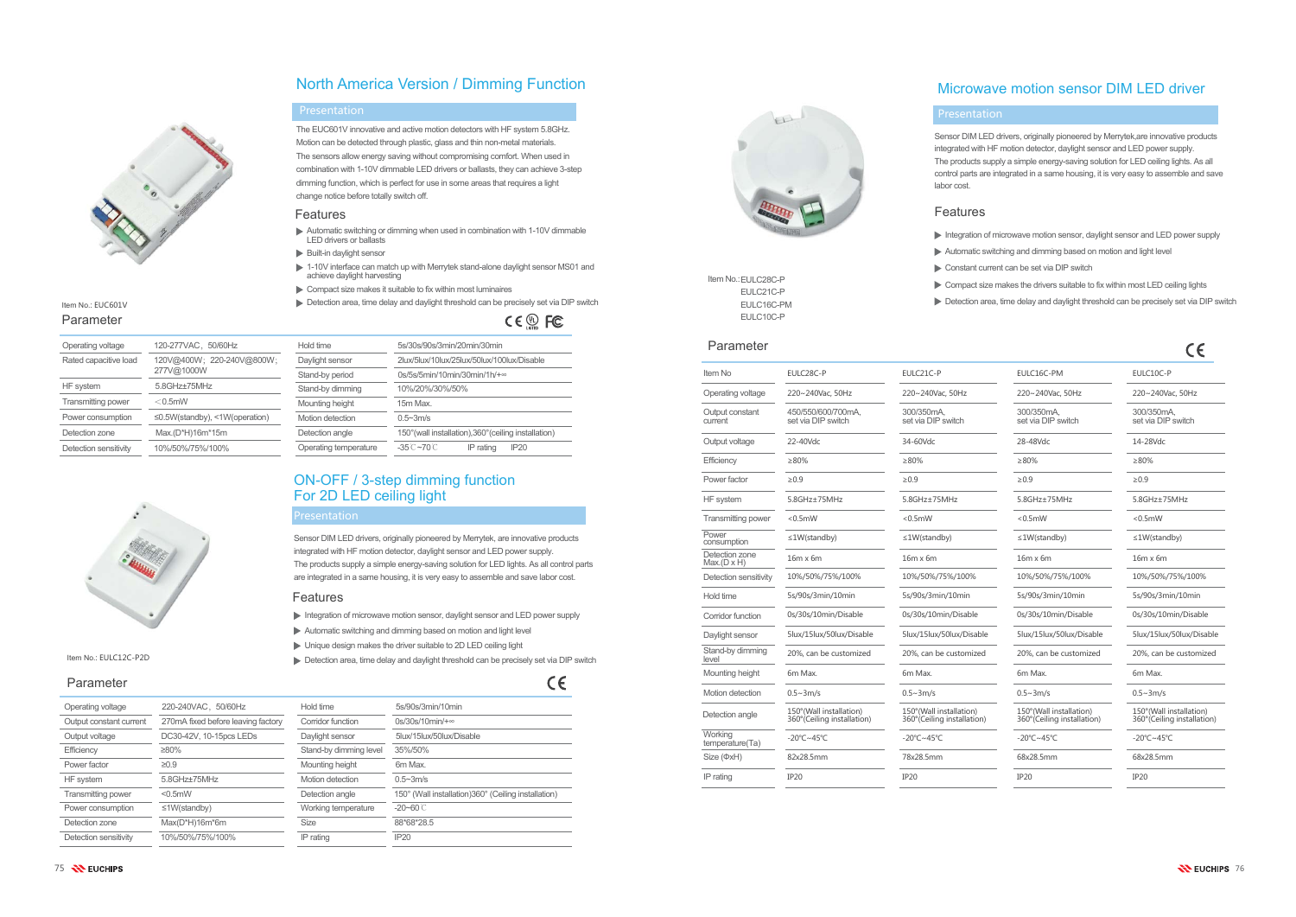## North America Version / Dimming Function

The EUC601V innovative and active motion detectors with HF system 5.8GHz. Motion can be detected through plastic, glass and thin non-metal materials. The sensors allow energy saving without compromising comfort. When used in combination with 1-10V dimmable LED drivers or ballasts, they can achieve 3-step dimming function, which is perfect for use in some areas that requires a light change notice before totally switch off.

- Automatic switching or dimming when used in combination with 1-10V dimmable LED drivers or ballasts
- $\blacktriangleright$  Built-in daylight sensor
- 1-10V interface can match up with Merrytek stand-alone daylight sensor MS01 and achieve daylight harvesting
- Compact size makes it suitable to fix within most luminaires
- Detection area, time delay and daylight threshold can be precisely set via DIP switch

CE <sup>®</sup> FC

| Operating voltage         | 120-277VAC, 50/60Hz                        | Hold time             | 5s/30s/90s/3min/20min/30min                            |
|---------------------------|--------------------------------------------|-----------------------|--------------------------------------------------------|
| Rated capacitive load     | 120V@400W; 220-240V@800W;                  | Daylight sensor       | 2lux/5lux/10lux/25lux/50lux/100lux/Disable             |
|                           | 277V@1000W                                 | Stand-by period       | $0s/5s/5min/10min/30min/1h/+$                          |
| HF system                 | 5.8GHz+75MHz                               | Stand-by dimming      | 10%/20%/30%/50%                                        |
| <b>Transmitting power</b> | $<$ 0.5mW                                  | Mounting height       | 15m Max.                                               |
| Power consumption         | $\leq$ 0.5W(standby), $\leq$ 1W(operation) | Motion detection      | $0.5 - 3m/s$                                           |
| Detection zone            | Max.(D*H)16m*15m                           | Detection angle       | 150° (wall installation), 360° (ceiling installation)  |
| Detection sensitivity     | 10%/50%/75%/100%                           | Operating temperature | $-35^\circ$ C $\sim$ 70 $\circ$ C<br>IP20<br>IP rating |

| Operating voltage       | 220-240VAC, 50/60Hz                | H      |
|-------------------------|------------------------------------|--------|
| Output constant current | 270mA fixed before leaving factory | C      |
| Output voltage          | DC30-42V, 10-15pcs LEDs            | Е      |
| Efficiency              | $\geq 80\%$                        | S,     |
| Power factor            | $\geq 0.9$                         | N      |
| HF system               | 5.8GHz±75MHz                       | N      |
| Transmitting power      | $< 0.5$ mW                         | D      |
| Power consumption       | $\leq$ 1W(standby)                 | $\vee$ |
| Detection zone          | $Max(D*H)16m*6m$                   | S      |
| Detection sensitivity   | 10%/50%/75%/100%                   | IF     |
|                         |                                    |        |

| )Hz            | Hold time              | 5s/90s/3min/10min                                   |
|----------------|------------------------|-----------------------------------------------------|
| eaving factory | Corridor function      | $0s/30s/10min/+$                                    |
| i LEDs         | Daylight sensor        | 5lux/15lux/50lux/Disable                            |
|                | Stand-by dimming level | 35%/50%                                             |
|                | Mounting height        | 6m Max.                                             |
|                | Motion detection       | $0.5 - 3m/s$                                        |
|                | Detection angle        | 150° (Wall installation)360° (Ceiling installation) |
|                | Working temperature    | $-20 - 60$ C                                        |
|                | <b>Size</b>            | 88*68*28.5                                          |
|                | IP rating              | <b>IP20</b>                                         |
|                |                        |                                                     |





#### Item No.: EUC601V Parameter

### Operating vo Rated capa 277V@1000W HF system Transmitting Power const Detection zo



#### Item No.: EULC12C-P2D

## Microwave motion sensor DIM LED driver

| ltem No.:EULC28C-P |
|--------------------|
| EULC21C-P          |
| FULC16C-PM         |
| FULC10C-P          |

| <u>Faidheich</u>                     |                                                        |                                                        |                                                        | CE                                                     |
|--------------------------------------|--------------------------------------------------------|--------------------------------------------------------|--------------------------------------------------------|--------------------------------------------------------|
| Item No                              | EULC28C-P                                              | EULC21C-P                                              | EULC16C-PM                                             | EULC10C-P                                              |
| Operating voltage                    | 220~240Vac, 50Hz                                       | 220~240Vac, 50Hz                                       | 220~240Vac, 50Hz                                       | 220~240Vac, 50Hz                                       |
| Output constant<br>current           | 450/550/600/700mA,<br>set via DIP switch               | 300/350mA,<br>set via DIP switch                       | 300/350mA,<br>set via DIP switch                       | 300/350mA,<br>set via DIP switch                       |
| Output voltage                       | 22-40Vdc                                               | 34-60Vdc                                               | 28-48Vdc                                               | 14-28Vdc                                               |
| Efficiency                           | ≥80%                                                   | $\geq 80\%$                                            | ≥80%                                                   | >80%                                                   |
| Power factor                         | $\geq 0.9$                                             | $\geq 0.9$                                             | $\geq 0.9$                                             | $\geq 0.9$                                             |
| <b>HF</b> system                     | 5.8GHz±75MHz                                           | 5.8GHz±75MHz                                           | 5.8GHz±75MHz                                           | 5.8GHz±75MHz                                           |
| <b>Transmitting power</b>            | $< 0.5$ mW                                             | $< 0.5$ mW                                             | $< 0.5$ mW                                             | $< 0.5$ mW                                             |
| Power<br>consumption                 | $\leq$ 1W(standby)                                     | $\leq$ 1W(standby)                                     | $\leq$ 1W(standby)                                     | $\leq$ 1W(standby)                                     |
| Detection zone<br>$Max.(D \times H)$ | $16m \times 6m$                                        | $16m \times 6m$                                        | $16m \times 6m$                                        | $16m \times 6m$                                        |
| Detection sensitivity                | 10%/50%/75%/100%                                       | 10%/50%/75%/100%                                       | 10%/50%/75%/100%                                       | 10%/50%/75%/100%                                       |
| Hold time                            | 5s/90s/3min/10min                                      | 5s/90s/3min/10min                                      | 5s/90s/3min/10min                                      | 5s/90s/3min/10min                                      |
| Corridor function                    | 0s/30s/10min/Disable                                   | 0s/30s/10min/Disable                                   | 0s/30s/10min/Disable                                   | 0s/30s/10min/Disable                                   |
| Daylight sensor                      | 5lux/15lux/50lux/Disable                               | 5lux/15lux/50lux/Disable                               | 5lux/15lux/50lux/Disable                               | 5lux/15lux/50lux/Disable                               |
| Stand-by dimming<br>level            | 20%, can be customized                                 | 20%, can be customized                                 | 20%, can be customized                                 | 20%, can be customized                                 |
| Mounting height                      | 6m Max.                                                | 6m Max.                                                | 6m Max.                                                | 6m Max.                                                |
| <b>Motion detection</b>              | $0.5 - 3m/s$                                           | $0.5 - 3m/s$                                           | $0.5 - 3m/s$                                           | $0.5 - 3m/s$                                           |
| Detection angle                      | 150°(Wall installation)<br>360° (Ceiling installation) | 150°(Wall installation)<br>360° (Ceiling installation) | 150°(Wall installation)<br>360° (Ceiling installation) | 150°(Wall installation)<br>360° (Ceiling installation) |
| Workina<br>temperature(Ta)           | $-20^{\circ}$ C $\sim$ 45°C                            | $-20^{\circ}$ C $\sim$ 45°C                            | $-20^{\circ}$ C $\sim$ 45°C                            | $-20^{\circ}$ C $\sim$ 45°C                            |
| Size (ФхН)                           | 82x28.5mm                                              | 78x28.5mm                                              | 68x28.5mm                                              | 68x28.5mm                                              |
| IP rating                            | IP20                                                   | IP20                                                   | IP20                                                   | <b>IP20</b>                                            |
|                                      |                                                        |                                                        |                                                        |                                                        |

### Parameter

#### Parameter

#### Features

#### Presentation

#### Features

### Presentation

#### Features

- Integration of microwave motion sensor, daylight sensor and LED power supply
- Automatic switching and dimming based on motion and light level
- Unique design makes the driver suitable to 2D LED ceiling light
- Detection area, time delay and daylight threshold can be precisely set via DIP switch

 $\epsilon$ 

#### Presentation

## ON-OFF / 3-step dimming function For 2D LED ceiling light

Sensor DIM LED drivers, originally pioneered by Merrytek, are innovative products integrated with HF motion detector, daylight sensor and LED power supply. The products supply a simple energy-saving solution for LED lights. As all control parts are integrated in a same housing, it is very easy to assemble and save labor cost.

Sensor DIM LED drivers, originally pioneered by Merrytek,are innovative products integrated with HF motion detector, daylight sensor and LED power supply. The products supply a simple energy-saving solution for LED ceiling lights. As all control parts are integrated in a same housing, it is very easy to assemble and save

- Integration of microwave motion sensor, daylight sensor and LED power supply
- Automatic switching and dimming based on motion and light level
	- Constant current can be set via DIP switch
- Detection area, time delay and daylight threshold can be precisely set via DIP switch

labor cost.

- 
- 
- 
- Compact size makes the drivers suitable to fix within most LED ceiling lights
-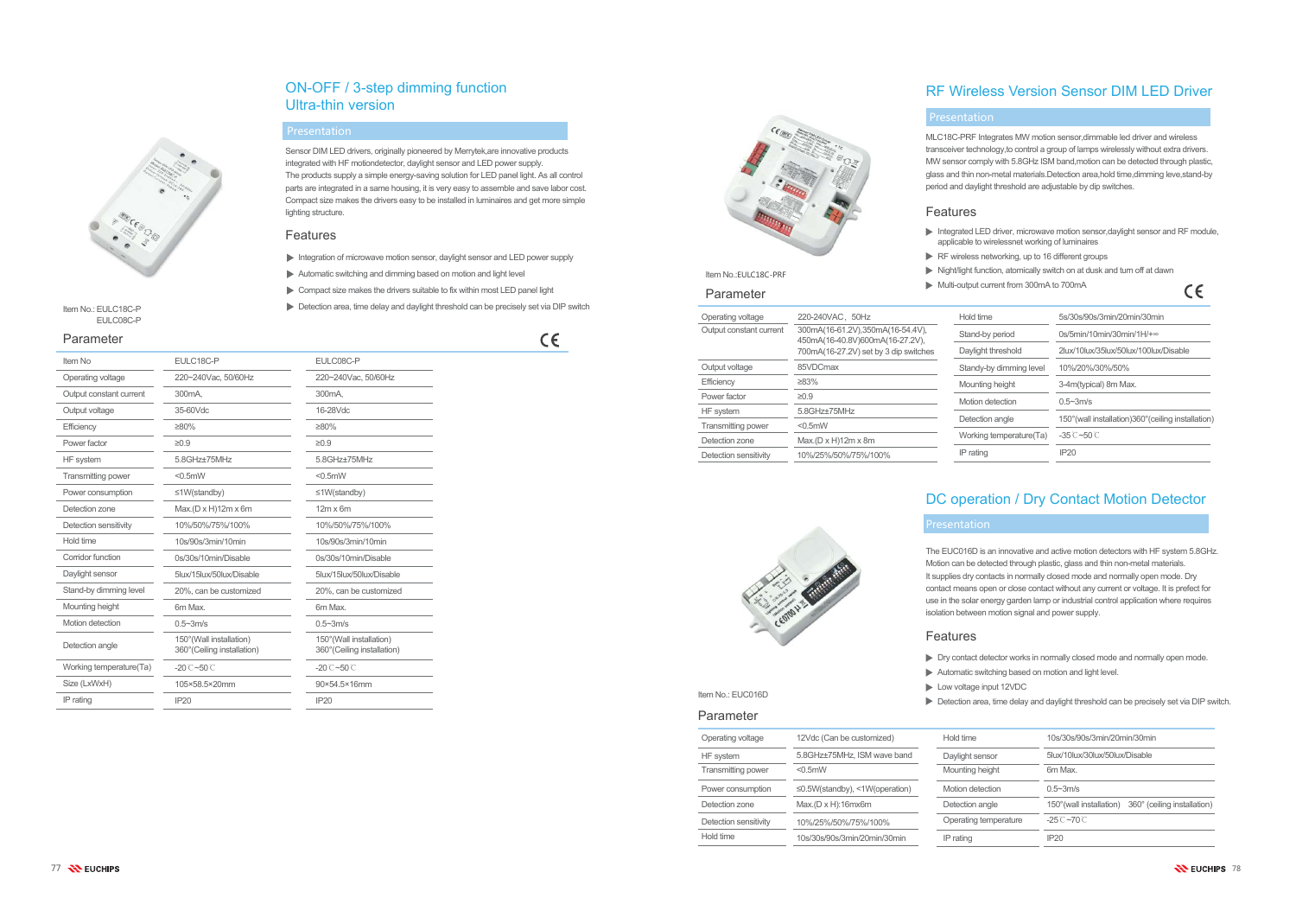## ON-OFF / 3-step dimming function Ultra-thin version

| Item No                   | EULC18C-P                                              | EULC08C-P                                              |
|---------------------------|--------------------------------------------------------|--------------------------------------------------------|
| Operating voltage         | 220~240Vac, 50/60Hz                                    | 220~240Vac, 50/60Hz                                    |
| Output constant current   | 300 <sub>m</sub> A.                                    | 300 <sub>m</sub> A.                                    |
| Output voltage            | 35-60Vdc                                               | 16-28Vdc                                               |
| Efficiency                | $\geq 80\%$                                            | $\geq 80\%$                                            |
| Power factor              | $\geq 0.9$                                             | $\geq 0.9$                                             |
| HF system                 | 5.8GHz+75MHz                                           | 5.8GHz±75MHz                                           |
| <b>Transmitting power</b> | $< 0.5$ mW                                             | $<$ 0.5 $m$ W                                          |
| Power consumption         | $\leq$ 1W(standby)                                     | $\leq$ 1W(standby)                                     |
| Detection zone            | Max.(D x H)12m x 6m                                    | $12m \times 6m$                                        |
| Detection sensitivity     | 10%/50%/75%/100%                                       | 10%/50%/75%/100%                                       |
| Hold time                 | 10s/90s/3min/10min                                     | 10s/90s/3min/10min                                     |
| Corridor function         | 0s/30s/10min/Disable                                   | 0s/30s/10min/Disable                                   |
| Daylight sensor           | 5lux/15lux/50lux/Disable                               | 5lux/15lux/50lux/Disable                               |
| Stand-by dimming level    | 20%, can be customized                                 | 20%, can be customized                                 |
| Mounting height           | 6m Max.                                                | 6m Max.                                                |
| Motion detection          | $0.5 - 3m/s$                                           | $0.5 - 3m/s$                                           |
| Detection angle           | 150°(Wall installation)<br>360° (Ceiling installation) | 150°(Wall installation)<br>360° (Ceiling installation) |
| Working temperature(Ta)   | $-20^\circ$ C $-50^\circ$ C                            | $-20^\circ$ C $-50^\circ$ C                            |
| Size (LxWxH)              | 105×58.5×20mm                                          | 90×54.5×16mm                                           |
| IP rating                 | IP20                                                   | IP20                                                   |
|                           |                                                        |                                                        |

# **Presentation**

| Hold time               | 5s/30s/90s/3min/20min/30min                          |
|-------------------------|------------------------------------------------------|
| Stand-by period         | $0s/5min/10min/30min/1H/+$                           |
| Daylight threshold      | 2lux/10lux/35lux/50lux/100lux/Disable                |
| Standy-by dimming level | 10%/20%/30%/50%                                      |
| Mounting height         | 3-4m(typical) 8m Max.                                |
| Motion detection        | $0.5 - 3m/s$                                         |
| Detection angle         | 150° (wall installation) 360° (ceiling installation) |
| Working temperature(Ta) | $-35^\circ$ C $-50^\circ$ C                          |
| IP rating               | IP20                                                 |
|                         |                                                      |

Item No.: EULC18C-PEULC08C-P

## RF Wireless Version Sensor DIM LED Driver

MLC18C-PRF Integrates MW motion sensor,dimmable led driver and wireless transceiver technology,to control a group of lamps wirelessly without extra drivers. MW sensor comply with 5.8GHz ISM band,motion can be detected through plastic, glass and thin non-metal materials.Detection area,hold time,dimming leve,stand-by period and daylight threshold are adjustable by dip switches.

- Integrated LED driver, microwave motion sensor, daylight sensor and RF module, applicable to wirelessnet working of luminaires
- RF wireless networking, up to 16 different groups
- Night/light function, atomically switch on at dusk and turn off at dawn
- Multi-output current from 300mA to 700mA

 $\epsilon$ 



| Operating voltage         | 220-240VAC, 50Hz                                                    | Hold tin      |
|---------------------------|---------------------------------------------------------------------|---------------|
| Output constant current   | 300mA(16-61.2V),350mA(16-54.4V),<br>450mA(16-40.8V)600mA(16-27.2V), | Stand-b       |
|                           | 700mA(16-27.2V) set by 3 dip switches                               | Dayligh       |
| Output voltage            | 85VDCmax                                                            | <b>Standy</b> |
| Efficiency                | ≥83%                                                                | Mountir       |
| Power factor              | ≥0.9                                                                | <b>Motion</b> |
| HF system                 | 5.8GHz±75MHz                                                        |               |
| <b>Transmitting power</b> | $< 0.5$ mW                                                          | Detection     |
| Detection zone            | $Max.(D \times H)12m \times 8m$                                     | <b>Workin</b> |
| Detection sensitivity     | 10%/25%/50%/75%/100%                                                | IP rating     |

## DC operation / Dry Contact Motion Detector



#### Parameter

### Features

- Integration of microwave motion sensor, daylight sensor and LED power supply
- Automatic switching and dimming based on motion and light level
- Compact size makes the drivers suitable to fix within most LED panel light
- Detection area, time delay and daylight threshold can be precisely set via DIP switch

## $\epsilon$

Features

### Features

- 
- 
- 
- 

#### Presentation

### Presentation

Sensor DIM LED drivers, originally pioneered by Merrytek,are innovative products integrated with HF motiondetector, daylight sensor and LED power supply. The products supply a simple energy-saving solution for LED panel light. As all control parts are integrated in a same housing, it is very easy to assemble and save labor cost. Compact size makes the drivers easy to be installed in luminaires and get more simple lighting structure.

> The EUC016D is an innovative and active motion detectors with HF system 5.8GHz. Motion can be detected through plastic, glass and thin non-metal materials. It supplies dry contacts in normally closed mode and normally open mode. Dry contact means open or close contact without any current or voltage. It is prefect for use in the solar energy garden lamp or industrial control application where requires isolation between motion signal and power supply.

Dry contact detector works in normally closed mode and normally open mode.

- Automatic switching based on motion and light level.
- Low voltage input 12VDC

Detection area, time delay and daylight threshold can be precisely set via DIP switch.



### Parameter

| Operating voltage         | 12Vdc (Can be customized)                  | Hold time             | 10s/30s/90s/3min/20min/30min                            |
|---------------------------|--------------------------------------------|-----------------------|---------------------------------------------------------|
| HF system                 | 5.8GHz±75MHz, ISM wave band                | Daylight sensor       | 5lux/10lux/30lux/50lux/Disable                          |
| <b>Transmitting power</b> | $< 0.5$ mW                                 | Mounting height       | 6m Max.                                                 |
| Power consumption         | $\leq$ 0.5W(standby), $\leq$ 1W(operation) | Motion detection      | $0.5 - 3m/s$                                            |
| Detection zone            | $Max.(D \times H):16mx6m$                  | Detection angle       | 360° (ceiling installation)<br>150° (wall installation) |
| Detection sensitivity     | 10%/25%/50%/75%/100%                       | Operating temperature | $-25^\circ$ C $\sim$ 70 $\circ$                         |
| Hold time                 | 10s/30s/90s/3min/20min/30min               | IP rating             | IP20                                                    |
|                           |                                            |                       |                                                         |